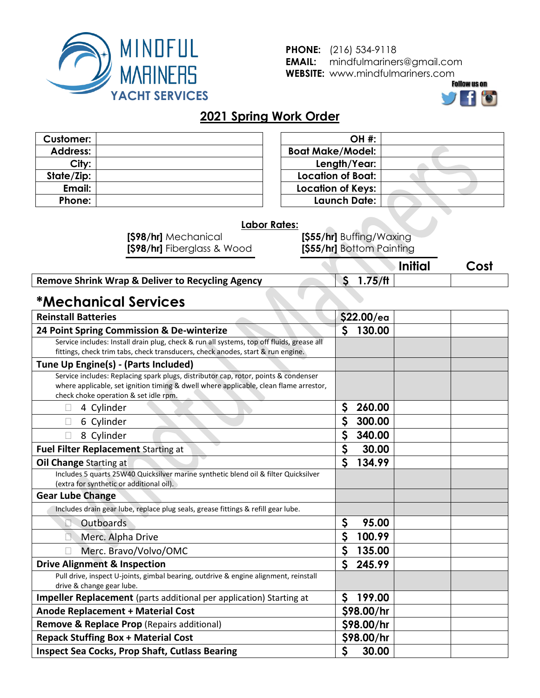

**PHONE:** (216) 534-9118 **EMAIL:** mindfulmariners@gmail.com **WEBSITE:** www.mindfulmariners.com



### **2021 Spring Work Order**

| <b>Customer:</b> |  |
|------------------|--|
| <b>Address:</b>  |  |
| City:            |  |
| State/Zip:       |  |
| Email:           |  |
| Phone:           |  |

| <b>OH #:</b>             |  |
|--------------------------|--|
| <b>Boat Make/Model:</b>  |  |
| Length/Year:             |  |
| <b>Location of Boat:</b> |  |
| <b>Location of Keys:</b> |  |
| Launch Date:             |  |

#### **Labor Rates:**

**[\$98/hr]** Mechanical **[\$98/hr]** Fiberglass & Wood

**[\$55/hr]** Buffing/Waxing **[\$55/hr]** Bottom Painting

| <b>Remove Shrink Wrap &amp; Deliver to Recycling Agency</b> | 75/ft |  |
|-------------------------------------------------------------|-------|--|

# **\*Mechanical Services**

| <b>Reinstall Batteries</b>                                                                                                                                                                                            | \$22.00/ea                |  |
|-----------------------------------------------------------------------------------------------------------------------------------------------------------------------------------------------------------------------|---------------------------|--|
| 24 Point Spring Commission & De-winterize                                                                                                                                                                             | $\mathsf{S}$<br>130.00    |  |
| Service includes: Install drain plug, check & run all systems, top off fluids, grease all                                                                                                                             |                           |  |
| fittings, check trim tabs, check transducers, check anodes, start & run engine.                                                                                                                                       |                           |  |
| Tune Up Engine(s) - (Parts Included)                                                                                                                                                                                  |                           |  |
| Service includes: Replacing spark plugs, distributor cap, rotor, points & condenser<br>where applicable, set ignition timing & dwell where applicable, clean flame arrestor,<br>check choke operation & set idle rpm. |                           |  |
| 4 Cylinder                                                                                                                                                                                                            | \$<br>260.00              |  |
| 6 Cylinder                                                                                                                                                                                                            | \$<br>300.00              |  |
| 8 Cylinder                                                                                                                                                                                                            | \$<br>340.00              |  |
| Fuel Filter Replacement Starting at                                                                                                                                                                                   | $\boldsymbol{S}$<br>30.00 |  |
| Oil Change Starting at                                                                                                                                                                                                | $\mathsf{S}$<br>134.99    |  |
| Includes 5 quarts 25W40 Quicksilver marine synthetic blend oil & filter Quicksilver<br>(extra for synthetic or additional oil).                                                                                       |                           |  |
| <b>Gear Lube Change</b>                                                                                                                                                                                               |                           |  |
| Includes drain gear lube, replace plug seals, grease fittings & refill gear lube.                                                                                                                                     |                           |  |
| Outboards                                                                                                                                                                                                             | \$<br>95.00               |  |
| Merc. Alpha Drive                                                                                                                                                                                                     | $\mathsf{S}$<br>100.99    |  |
| Merc. Bravo/Volvo/OMC                                                                                                                                                                                                 | $\mathsf{S}$<br>135.00    |  |
| <b>Drive Alignment &amp; Inspection</b>                                                                                                                                                                               | $\mathsf{S}$<br>245.99    |  |
| Pull drive, inspect U-joints, gimbal bearing, outdrive & engine alignment, reinstall<br>drive & change gear lube.                                                                                                     |                           |  |
| Impeller Replacement (parts additional per application) Starting at                                                                                                                                                   | $\mathsf{S}$<br>199.00    |  |
| <b>Anode Replacement + Material Cost</b>                                                                                                                                                                              | \$98.00/hr                |  |
| Remove & Replace Prop (Repairs additional)                                                                                                                                                                            | \$98.00/hr                |  |
| <b>Repack Stuffing Box + Material Cost</b>                                                                                                                                                                            | \$98.00/hr                |  |
| <b>Inspect Sea Cocks, Prop Shaft, Cutlass Bearing</b>                                                                                                                                                                 | \$<br>30.00               |  |